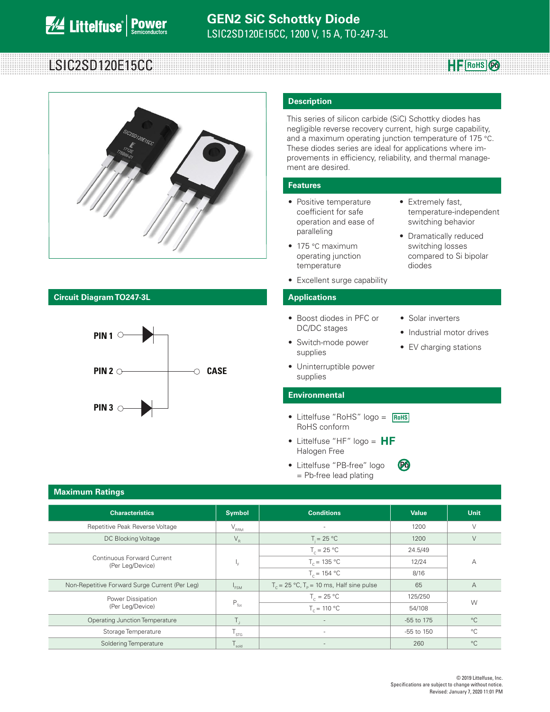# LSIC2SD120E15CC **Rowsell** Research **Rowsell** Research **Rowsell** Research **Rowsell** Research **Rowsell**

**HF** RoHS 2



# **Circuit Diagram TO247-3L Applications**



### **Description**

This series of silicon carbide (SiC) Schottky diodes has negligible reverse recovery current, high surge capability, and a maximum operating junction temperature of 175 °C. These diodes series are ideal for applications where improvements in efficiency, reliability, and thermal management are desired.

#### **Features**

- Positive temperature coefficient for safe operation and ease of paralleling
- 175 °C maximum operating junction temperature
- Excellent surge capability

- Boost diodes in PFC or DC/DC stages
- Switch-mode power supplies
- Solar inverters

**Pb**

diodes

• Extremely fast,

temperature-independent switching behavior • Dramatically reduced switching losses compared to Si bipolar

- Industrial motor drives
- EV charging stations
- Uninterruptible power supplies

#### **Environmental**

- Littelfuse "RoHS" logo = **RoHS** RoHS conform
- Littelfuse "HF"  $logo = HF$ Halogen Free
- Littelfuse "PB-free" logo = Pb-free lead plating

### **Maximum Ratings**

| <b>Characteristics</b>                         | <b>Symbol</b>                                 | <b>Conditions</b>                                           | <b>Value</b>   | <b>Unit</b>    |  |
|------------------------------------------------|-----------------------------------------------|-------------------------------------------------------------|----------------|----------------|--|
| Repetitive Peak Reverse Voltage                | $\mathsf{V}_{\mathsf{RRM}}$                   | $\sim$                                                      | 1200           | V              |  |
| DC Blocking Voltage                            | $\mathsf{V}_{\scriptscriptstyle{\mathsf{R}}}$ | $T = 25 °C$                                                 | 1200           | V              |  |
| Continuous Forward Current<br>(Per Leg/Device) | ۱e.                                           | $T_c = 25 °C$                                               | 24.5/49        |                |  |
|                                                |                                               | $T_c = 135 °C$                                              | 12/24          | А              |  |
|                                                |                                               | $T_c = 154 °C$                                              | 8/16           |                |  |
| Non-Repetitive Forward Surge Current (Per Leg) | <sup>1</sup> FSM                              | $T_c = 25 \text{ °C}, T_c = 10 \text{ ms},$ Half sine pulse | 65             | $\overline{A}$ |  |
| Power Dissipation                              | $P_{\text{Tot}}$                              | $T_c = 25 °C$                                               | 125/250        | W              |  |
| (Per Leg/Device)                               |                                               | $T_c = 110 °C$                                              | 54/108         |                |  |
| <b>Operating Junction Temperature</b>          | Τ.                                            | $\overline{\phantom{a}}$                                    | -55 to 175     | $^{\circ}C$    |  |
| Storage Temperature                            | $\frac{1}{5}$ STG.                            | $\sim$                                                      | $-55$ to $150$ | $^{\circ}C$    |  |
| Soldering Temperature                          | $\frac{1}{2}$ sold                            | $\overline{\phantom{a}}$                                    | 260            | $^{\circ}C$    |  |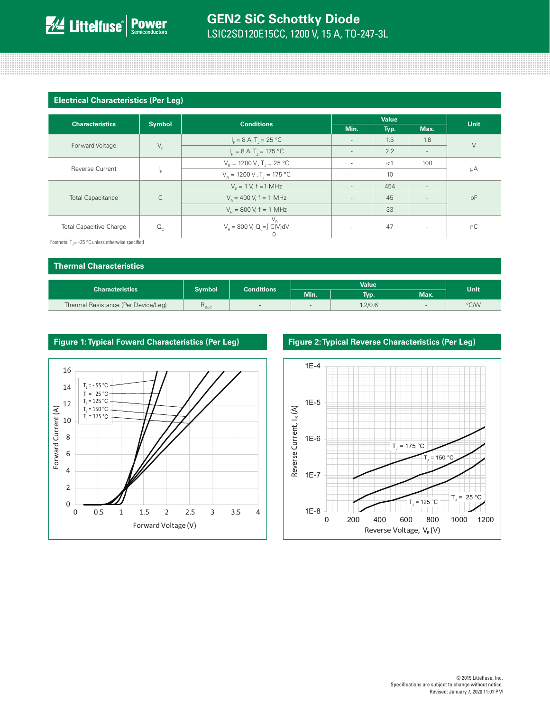## **Electrical Characteristics (Per Leg)**

| <b>Characteristics</b>         | <b>Symbol</b> | <b>Conditions</b>                                     | Value                    |      |                          | Unit   |  |
|--------------------------------|---------------|-------------------------------------------------------|--------------------------|------|--------------------------|--------|--|
|                                |               |                                                       | Min.                     | Typ. | Max.                     |        |  |
| Forward Voltage                | $V_F$         | $I_c = 8 A$ , T <sub>1</sub> = 25 °C                  | $\overline{\phantom{a}}$ | 1.5  | 1.8                      | $\vee$ |  |
|                                |               | $I_{F} = 8 A, T_{1} = 175 °C$                         | $\sim$                   | 2.2  | $\overline{\phantom{a}}$ |        |  |
| Reverse Current                | ١R            | $V_R = 1200 V, T = 25 °C$                             | $\overline{\phantom{a}}$ | <1   | 100                      |        |  |
|                                |               | $V_{\rm B} = 1200 \,\rm V$ , T <sub>1</sub> = 175 °C  |                          | 10   |                          | μA     |  |
| <b>Total Capacitance</b>       | $\mathsf{C}$  | $V_p = 1 V$ , f = 1 MHz                               | $\sim$                   | 454  | $\overline{\phantom{a}}$ | pF     |  |
|                                |               | $V_p = 400 V$ , f = 1 MHz                             | $\overline{\phantom{a}}$ | 45   | $\sim$                   |        |  |
|                                |               | $V_p = 800 V$ , f = 1 MHz                             | $\overline{\phantom{a}}$ | 33   | $\overline{\phantom{a}}$ |        |  |
| <b>Total Capacitive Charge</b> | $Q_c$         | $V_R$<br>$V_R$ = 800 V, Q <sub>c</sub> =∫ C(V)dV<br>U | $\sim$                   | 47   | $\overline{\phantom{a}}$ | nC     |  |

Footnote:  $T_1 = +25$  °C unless otherwise specified

| <b>Thermal Characteristics</b>      |                  |                   |        |         |      |      |
|-------------------------------------|------------------|-------------------|--------|---------|------|------|
| <b>Value</b>                        |                  |                   |        | Unit    |      |      |
| <b>Characteristics</b>              | <b>Symbol</b>    | <b>Conditions</b> | Min.   | Typ.    | Max. |      |
| Thermal Resistance (Per Device/Leg) | n <sub>ejc</sub> | $\sim$            | $\sim$ | 1.2/0.6 |      | °C/W |

## **Figure 1: Typical Foward Characteristics (Per Leg) Figure 2: Typical Reverse Characteristics (Per Leg)**



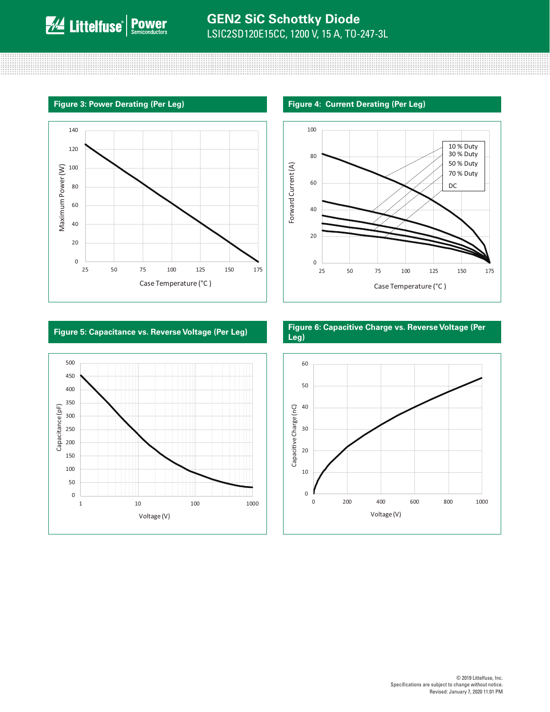and the contract of the contract of the contract of the contract of the contract of the contract of the contract of the contract of the contract of the contract of the contract of the contract of the contract of the contra

<u> 11. – 11. – 11. – 11. – 11. – 11. – 11. – 11. – 11. – 11. – 11. – 11. – 11. – 11. – 11. – 11. – 11. – 11. – 1</u>







**Figure 5: Capacitance vs. Reverse Voltage (Per Leg) Figure 6: Capacitive Charge vs. Reverse Voltage (Per Leg)**

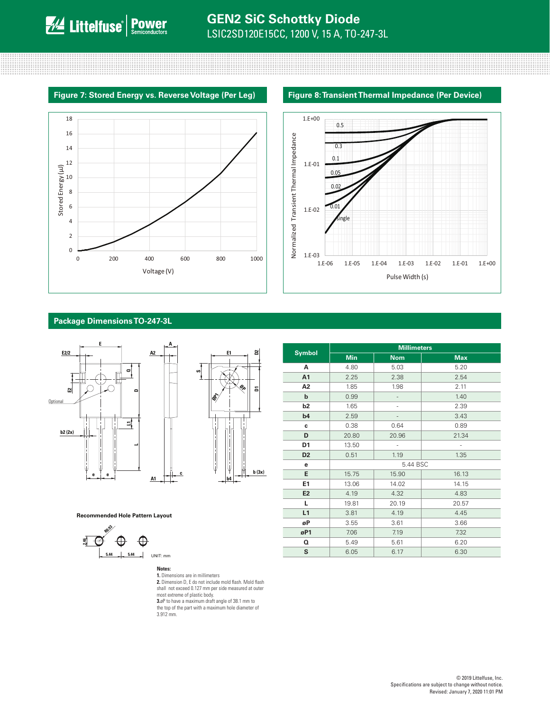





#### **Package Dimensions TO-247-3L**





**Recommended Hole Pattern Layout**



#### **Notes:**

**1.** Dimensions are in millimeters **2.** Dimension D, E do not include mold flash. Mold flash shall not exceed 0.127 mm per side measured at outer most extreme of plastic body. **3.**øP to have a maximum draft angle of 38.1 mm to the top of the part with a maximum hole diameter of 3.912 mm.

|                | <b>Millimeters</b> |               |            |  |  |
|----------------|--------------------|---------------|------------|--|--|
| <b>Symbol</b>  | <b>Min</b>         | <b>Nom</b>    | <b>Max</b> |  |  |
| A              | 4.80               | 5.03          | 5.20       |  |  |
| A <sub>1</sub> | 2.25               | 2.38          | 2.54       |  |  |
| A <sub>2</sub> | 1.85               | 1.98          | 2.11       |  |  |
| $\mathbf b$    | 0.99               |               | 1.40       |  |  |
| b2             | 1.65               | $\frac{1}{2}$ | 2.39       |  |  |
| b4             | 2.59               |               | 3.43       |  |  |
| c              | 0.38               | 0.64          | 0.89       |  |  |
| D              | 20.80              | 20.96         | 21.34      |  |  |
| D1             | 13.50              | ä,            | ä,         |  |  |
| D <sub>2</sub> | 0.51               | 1.19          | 1.35       |  |  |
| e              |                    | 5.44 BSC      |            |  |  |
| E              | 15.75              | 15.90         | 16.13      |  |  |
| E1             | 13.06              | 14.02         | 14.15      |  |  |
| E <sub>2</sub> | 4.19               | 4.32          | 4.83       |  |  |
| L              | 19.81              | 20.19         | 20.57      |  |  |
| L1             | 3.81               | 4.19          | 4.45       |  |  |
| øP             | 3.55               | 3.61          | 3.66       |  |  |
| øP1            | 7.06               | 7.19          | 7.32       |  |  |
| Q              | 5.49               | 5.61          | 6.20       |  |  |
| S              | 6.05               | 6.17          | 6.30       |  |  |